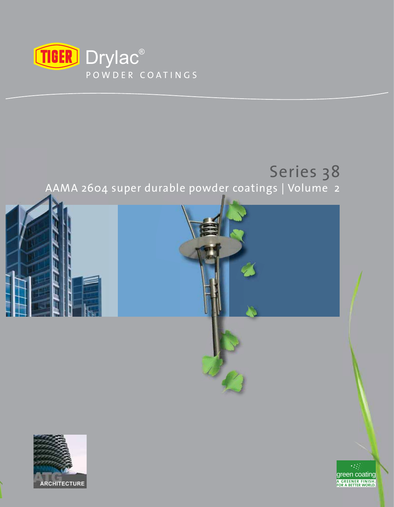

# Series 38

AAMA 2604 super durable powder coatings | Volume 2 p





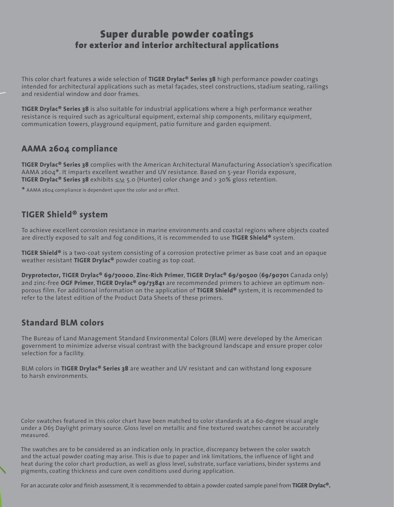# **Super durable powder coatings for exterior and interior architectural applications**

This color chart features a wide selection of **TIGER Drylac® Series 38** high performance powder coatings intended for architectural applications such as metal façades, steel constructions, stadium seating, railings and residential window and door frames.

**TIGER Drylac® Series 38** is also suitable for industrial applications where a high performance weather resistance is required such as agricultural equipment, external ship components, military equipment, communication towers, playground equipment, patio furniture and garden equipment.

# **AAMA 2604 compliance**

**TIGER Drylac® Series 38** complies with the American Architectural Manufacturing Association's specification AAMA 2604\*. It imparts excellent weather and UV resistance. Based on 5-year Florida exposure, **TIGER Drylac® Series 38** exhibits ≤∆ε 5.0 (Hunter) color change and > 30% gloss retention.

\* AAMA 2604 compliance is dependent upon the color and or effect.

# **TIGER Shield® system**

To achieve excellent corrosion resistance in marine environments and coastal regions where objects coated are directly exposed to salt and fog conditions, it is recommended to use **TIGER Shield®** system.

**TIGER Shield®** is a two-coat system consisting of a corrosion protective primer as base coat and an opaque weather resistant **TIGER Drylac®** powder coating as top coat.

**Dryprotector, TIGER Drylac® 69/70000**, **Zinc-Rich Primer**, **TIGER Drylac® 69/90500** (**69/90701** Canada only) and zinc-free **OGF Primer**, **TIGER Drylac® 09/73841** are recommended primers to achieve an optimum nonporous film. For additional information on the application of **TIGER Shield®** system, it is recommended to refer to the latest edition of the Product Data Sheets of these primers.

# **Standard BLM colors**

The Bureau of Land Management Standard Environmental Colors (BLM) were developed by the American government to minimize adverse visual contrast with the background landscape and ensure proper color selection for a facility.

BLM colors in **TIGER Drylac® Series 38** are weather and UV resistant and can withstand long exposure to harsh environments.

Color swatches featured in this color chart have been matched to color standards at a 60-degree visual angle under a D65 Daylight primary source. Gloss level on metallic and fine textured swatches cannot be accurately measured.

The swatches are to be considered as an indication only. In practice, discrepancy between the color swatch and the actual powder coating may arise. This is due to paper and ink limitations, the influence of light and heat during the color chart production, as well as gloss level, substrate, surface variations, binder systems and pigments, coating thickness and cure oven conditions used during application.

For an accurate color and finish assessment, it is recommended to obtain a powder coated sample panel from **TIGER Drylac<sup>®</sup>.**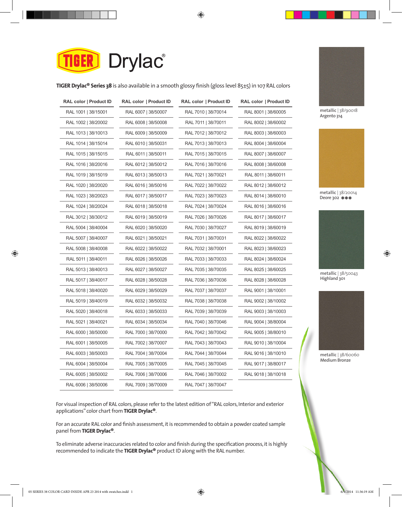

**TIGER Drylac® Series 38** is also available in a smooth glossy finish (gloss level 85±5) in 107 RAL colors

| RAL color   Product ID | RAL color   Product ID | RAL color   Product ID | RAL color   Product ID |
|------------------------|------------------------|------------------------|------------------------|
| RAL 1001   38/15001    | RAL 6007   38/50007    | RAL 7010   38/70014    | RAL 8001   38/60005    |
| RAL 1002   38/20002    | RAL 6008   38/50008    | RAL 7011   38/70011    | RAL 8002   38/60002    |
| RAL 1013   38/10013    | RAL 6009   38/50009    | RAL 7012   38/70012    | RAL 8003   38/60003    |
| RAL 1014   38/15014    | RAL 6010   38/50031    | RAL 7013   38/70013    | RAL 8004   38/60004    |
| RAL 1015   38/15015    | RAL 6011   38/50011    | RAL 7015   38/70015    | RAL 8007   38/60007    |
| RAL 1016   38/20016    | RAL 6012   38/50012    | RAL 7016   38/70016    | RAL 8008   38/60008    |
| RAL 1019   38/15019    | RAL 6013   38/50013    | RAL 7021   38/70021    | RAL 8011   38/60011    |
| RAL 1020   38/20020    | RAL 6016   38/50016    | RAL 7022   38/70022    | RAL 8012   38/60012    |
| RAL 1023   38/20023    | RAL 6017   38/50017    | RAL 7023   38/70023    | RAL 8014   38/60010    |
| RAL 1024   38/20024    | RAL 6018   38/50018    | RAL 7024   38/70024    | RAL 8016   38/60016    |
| RAL 3012   38/30012    | RAL 6019   38/50019    | RAL 7026   38/70026    | RAL 8017   38/60017    |
| RAL 5004   38/40004    | RAL 6020   38/50020    | RAL 7030   38/70027    | RAL 8019   38/60019    |
| RAL 5007   38/40007    | RAL 6021   38/50021    | RAL 7031   38/70031    | RAL 8022   38/60022    |
| RAL 5008   38/40008    | RAL 6022   38/50022    | RAL 7032   38/70001    | RAL 8023   38/60023    |
| RAL 5011   38/40011    | RAL 6026   38/50026    | RAL 7033   38/70033    | RAL 8024   38/60024    |
| RAL 5013   38/40013    | RAL 6027   38/50027    | RAL 7035   38/70035    | RAL 8025   38/60025    |
| RAL 5017   38/40017    | RAL 6028   38/50028    | RAL 7036   38/70036    | RAL 8028   38/60028    |
| RAL 5018   38/40020    | RAL 6029   38/50029    | RAL 7037   38/70037    | RAL 9001   38/10001    |
| RAL 5019   38/40019    | RAL 6032   38/50032    | RAL 7038   38/70038    | RAL 9002   38/10002    |
| RAL 5020   38/40018    | RAL 6033   38/50033    | RAL 7039   38/70039    | RAL 9003   38/10003    |
| RAL 5021   38/40021    | RAL 6034   38/50034    | RAL 7040   38/70046    | RAL 9004   38/80004    |
| RAL 6000   38/50000    | RAL 7000   38/70000    | RAL 7042   38/70042    | RAL 9005   38/80010    |
| RAL 6001   38/50005    | RAL 7002   38/70007    | RAL 7043   38/70043    | RAL 9010   38/10004    |
| RAL 6003   38/50003    | RAL 7004   38/70004    | RAL 7044   38/70044    | RAL 9016   38/10010    |
| RAL 6004   38/50004    | RAL 7005   38/70005    | RAL 7045   38/70045    | RAL 9017   38/80017    |
| RAL 6005   38/50002    | RAL 7006   38/70006    | RAL 7046   38/70002    | RAL 9018   38/10018    |
| RAL 6006   38/50006    | RAL 7009   38/70009    | RAL 7047   38/70047    |                        |



**metallic** | 38/90018 **Argento 314** 



**metallic** | 38/20014 **Deore 302 \*\*\*** 



**metallic** | 38/50043 **Highland 301** 



**metallic** | 38/60060 **Medium Bronze** 

For visual inspection of RAL colors, please refer to the latest edition of "RAL colors, Interior and exterior applications" color chart from **TIGER Drylac®**.

For an accurate RAL color and finish assessment, it is recommended to obtain a powder coated sample panel from **TIGER Drylac®**.

To eliminate adverse inaccuracies related to color and finish during the specification process, it is highly recommended to indicate the **TIGER Drylac®** product ID along with the RAL number.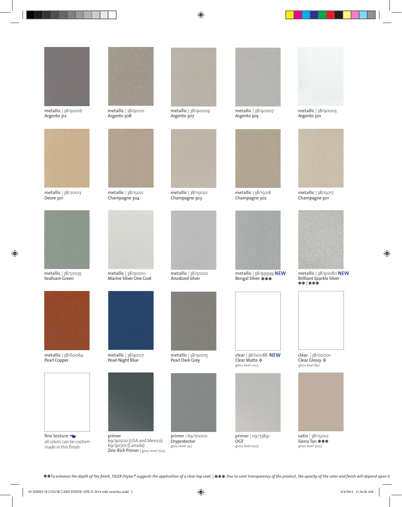

**metallic** | 38/90016 **Argento 312** 



**metallic** | 38/20013 **Deore 301** 



**metallic** | 38/50035 **Seafoam Green** 



**metallic** | 38/60064 **Pearl Copper** 



**fine texture** all colors can be custommade in this finish



**metallic** | 38/90011 **Argento 308** 



**metallic** | 38/15021 **Champagne 304** 



**metallic** | 38/90010 **Marine Silver One Coat** 



**metallic** | 38/40127 **Pearl Night Blue** 



**primer**<br> **be custom-** 69/90500 (USA and Mexico) 69/90701 (Canada) **Zinc-Rich Primer** | gloss level 70±5



**metallic** | 38/90009 **Argento 307** 



**metallic** | 38/15020 **Champagne 303** 



**metallic** | 38/91020 **Anodized Silver** 



**metallic** | 38/90015 **Pearl Dark Grey** 



**primer** | 69/70000 **Dryprotector**  gloss level 3±2



**metallic** | 38/90007 **Argento 305** 



**metallic** | 38/15018 **Champagne 302** 



**metallic** | 38/99999 **Bengal Silver**  \*\*\*





**primer** | 09/73841 **OGF**  gloss level 70±5



**metallic** | 38/90003 **Argento 301** 



**metallic** | 38/15017 **Champagne 301** 



**metallic** | 38/90080 **Brilliant Sparkle Silver**  \*\* **|** \*\*\*



◆ **Clear Glossy ◆** gloss level 85+



**satin** | 38/15002 **Sierra Tan \*\*\***<br>gloss level 30±5 gloss level 30±5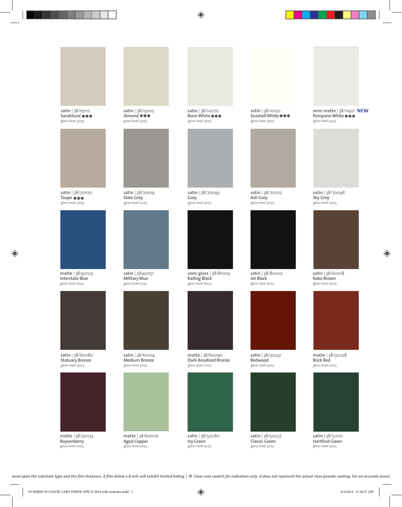

**satin** | 38/15003 **Almond**  gloss level 30±5

**satin** | 38/15012 **Sandstone**  gloss level 30±5

**Aged Copper**  gloss level 20±5

gloss level 20±5



**Ivy Green**  gloss level 30±5



**matte** | 38/60090 **Dark Anodized Bronze** gloss level 20±5

**semi gloss** | 38/81009 **Railing Black**  gloss level 60±5



**satin** | 38/30041



**satin** | 38/50037 **Classic Green**  gloss level 30±5







**Brick Red**  gloss level 20±5

**satin** | 38/50110 **Hartford Green**  gloss level 30±5



gloss level 30±5



**satin** | 38/10070 **Bone White**  gloss level 30±5

**satin** | 38/70049

**Grey**  gloss level 30±5



**satin** | 38/70025 **Ash Grey**  gloss level 30±5

**satin** | 38/80020

**satin** | 38/10130 **Seashell White**  gloss level 30±5

**semi matte | 38/11401 NEW Pompano White** 





**satin** | 38/70048 **Sky Grey** 

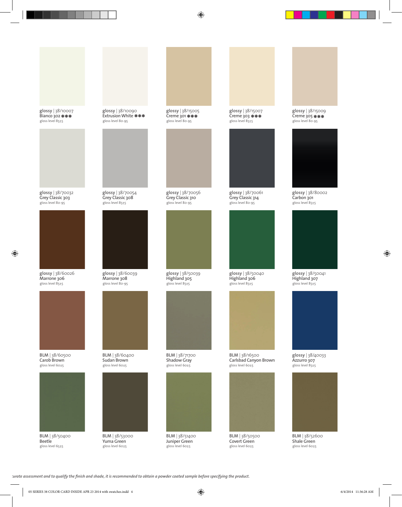

**glossy** | 38/60026 **Marrone 306**  gloss level 85±5

**BLM** | 38/60500 **Carob Brown**  gloss level 60±5



**BLM** | 38/50400 **Beetle**  gloss level 65±5





**glossy** | 38/70032 **Grey Classic 303**  gloss level 80-95

**glossy** | 38/10007 **Bianco 302** 



**Extrusion White** 



**glossy** | 38/15005 **Creme 301**  gloss level 80-95

**glossy** | 38/70056 **Grey Classic 310**  gloss level 80-95

**glossy** | 38/50039 **Highland 305**  gloss level 85±5



**BLM** | 38/51400 **Juniper Green**  gloss level 60±5

assessment and to qualify the finish and shade, it is recommended to obtain a powder coated sample before specifying the product.

**BLM** | 38/53000 **Yuma Green**  gloss level 60±5



**glossy** | 38/15007 **Creme 303**  gloss level 85±5

**glossy** | 38/70061 **Grey Classic 314**  gloss level 80-95

**BLM** | 38/50500 **Covert Green**  gloss level 60±5



**glossy** | 38/40033 **Azzurro 307**  gloss level 85±5

**BLM** | 38/52600 **Shale Green**  gloss level 60±5

**glossy** | 38/80002 **Carbon 301**  gloss level 85±5



**glossy** | 38/15009 **Creme 305**  gloss level 80-95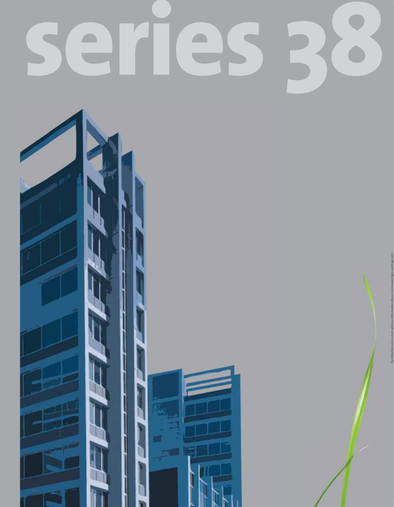# **series 38**